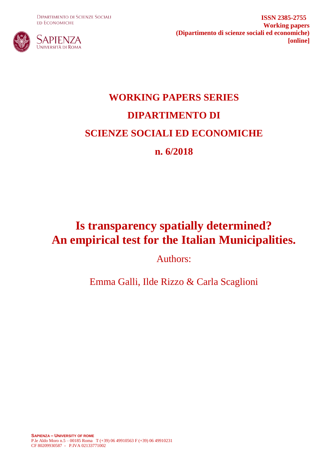**DIPARTIMENTO DI SCIENZE SOCIALI ED ECONOMICHE** 



**ISSN 2385-2755 Working papers (Dipartimento di scienze sociali ed economiche) [online]**

# **WORKING PAPERS SERIES DIPARTIMENTO DI SCIENZE SOCIALI ED ECONOMICHE n. 6/2018**

## **Is transparency spatially determined? An empirical test for the Italian Municipalities.**

Authors:

Emma Galli, Ilde Rizzo & Carla Scaglioni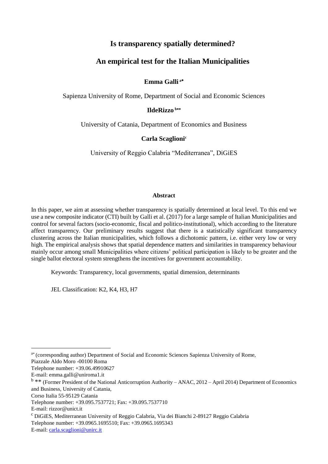#### **Is transparency spatially determined?**

#### **An empirical test for the Italian Municipalities**

#### **Emma Galli <sup>a</sup>**

Sapienza University of Rome, Department of Social and Economic Sciences

#### **IldeRizzo <sup>b</sup>**

University of Catania, Department of Economics and Business

#### **Carla Scaglioni<sup>c</sup>**

University of Reggio Calabria "Mediterranea", DiGiES

#### **Abstract**

In this paper, we aim at assessing whether transparency is spatially determined at local level. To this end we use a new composite indicator (CTI) built by Galli et al. (2017) for a large sample of Italian Municipalities and control for several factors (socio-economic, fiscal and politico-institutional), which according to the literature affect transparency. Our preliminary results suggest that there is a statistically significant transparency clustering across the Italian municipalities, which follows a dichotomic pattern, i.e. either very low or very high. The empirical analysis shows that spatial dependence matters and similarities in transparency behaviour mainly occur among small Municipalities where citizens' political participation is likely to be greater and the single ballot electoral system strengthens the incentives for government accountability.

Keywords: Transparency, local governments, spatial dimension, determinants

JEL Classification: K2, K4, H3, H7

Piazzale Aldo Moro -00100 Roma

a\* (corresponding author) Department of Social and Economic Sciences Sapienza University of Rome,

Telephone number: +39.06.49910627

E-mail: emma.galli@uniroma1.it

<sup>&</sup>lt;sup>b</sup> \*\* (Former President of the National Anticorruption Authority – ANAC, 2012 – April 2014) Department of Economics and Business, University of Catania,

Corso Italia 55-95129 Catania

Telephone number: +39.095.7537721; Fax: +39.095.7537710

E-mail: rizzor@unict.it

 $c$ DiGiES, Mediterranean University of Reggio Calabria, Via dei Bianchi 2-89127 Reggio Calabria Telephone number: +39.0965.1695510; Fax: +39.0965.1695343

E-mail: [carla.scaglioni@unirc.it](mailto:carla.scaglioni@unirc.it)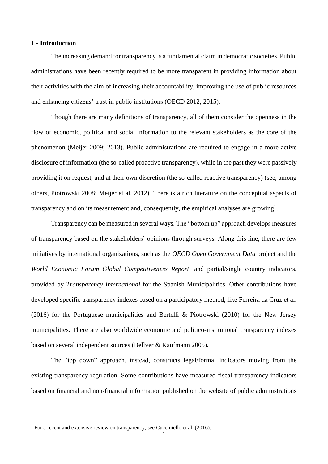#### **1 - Introduction**

The increasing demand for transparency is a fundamental claim in democratic societies. Public administrations have been recently required to be more transparent in providing information about their activities with the aim of increasing their accountability, improving the use of public resources and enhancing citizens' trust in public institutions (OECD 2012; 2015).

Though there are many definitions of transparency, all of them consider the openness in the flow of economic, political and social information to the relevant stakeholders as the core of the phenomenon (Meijer 2009; 2013). Public administrations are required to engage in a more active disclosure of information (the so-called proactive transparency), while in the past they were passively providing it on request, and at their own discretion (the so-called reactive transparency) (see, among others, Piotrowski 2008; Meijer et al. 2012). There is a rich literature on the conceptual aspects of transparency and on its measurement and, consequently, the empirical analyses are growing<sup>1</sup>.

Transparency can be measured in several ways. The "bottom up" approach develops measures of transparency based on the stakeholders' opinions through surveys. Along this line, there are few initiatives by international organizations, such as the *OECD Open Government Data* project and the *World Economic Forum Global Competitiveness Report*, and partial/single country indicators, provided by *Transparency International* for the Spanish Municipalities. Other contributions have developed specific transparency indexes based on a participatory method, like Ferreira da Cruz et al. (2016) for the Portuguese municipalities and Bertelli & Piotrowski (2010) for the New Jersey municipalities. There are also worldwide economic and politico-institutional transparency indexes based on several independent sources (Bellver & Kaufmann 2005).

The "top down" approach, instead, constructs legal/formal indicators moving from the existing transparency regulation. Some contributions have measured fiscal transparency indicators based on financial and non-financial information published on the website of public administrations

 $1$  For a recent and extensive review on transparency, see Cucciniello et al. (2016).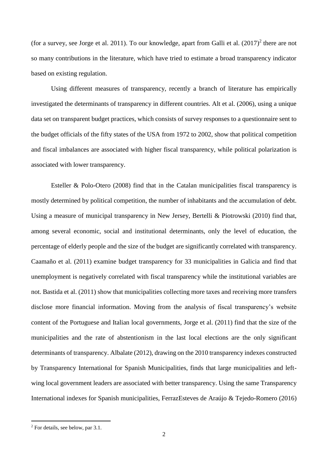(for a survey, see Jorge et al. 2011). To our knowledge, apart from Galli et al.  $(2017)^2$  there are not so many contributions in the literature, which have tried to estimate a broad transparency indicator based on existing regulation.

Using different measures of transparency, recently a branch of literature has empirically investigated the determinants of transparency in different countries. Alt et al. (2006), using a unique data set on transparent budget practices, which consists of survey responses to a questionnaire sent to the budget officials of the fifty states of the USA from 1972 to 2002, show that political competition and fiscal imbalances are associated with higher fiscal transparency, while political polarization is associated with lower transparency.

Esteller & Polo-Otero (2008) find that in the Catalan municipalities fiscal transparency is mostly determined by political competition, the number of inhabitants and the accumulation of debt. Using a measure of municipal transparency in New Jersey, Bertelli & Piotrowski (2010) find that, among several economic, social and institutional determinants, only the level of education, the percentage of elderly people and the size of the budget are significantly correlated with transparency. Caamaño et al. (2011) examine budget transparency for 33 municipalities in Galicia and find that unemployment is negatively correlated with fiscal transparency while the institutional variables are not. Bastida et al. (2011) show that municipalities collecting more taxes and receiving more transfers disclose more financial information. Moving from the analysis of fiscal transparency's website content of the Portuguese and Italian local governments, Jorge et al. (2011) find that the size of the municipalities and the rate of abstentionism in the last local elections are the only significant determinants of transparency. Albalate (2012), drawing on the 2010 transparency indexes constructed by Transparency International for Spanish Municipalities, finds that large municipalities and leftwing local government leaders are associated with better transparency. Using the same Transparency International indexes for Spanish municipalities, FerrazEsteves de Araújo & Tejedo-Romero (2016)

<sup>2</sup> For details, see below, par 3.1.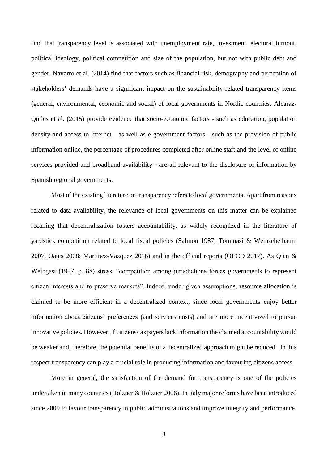find that transparency level is associated with unemployment rate, investment, electoral turnout, political ideology, political competition and size of the population, but not with public debt and gender. Navarro et al. (2014) find that factors such as financial risk, demography and perception of stakeholders' demands have a significant impact on the sustainability-related transparency items (general, environmental, economic and social) of local governments in Nordic countries. Alcaraz-Quiles et al. (2015) provide evidence that socio-economic factors - such as education, population density and access to internet - as well as e-government factors - such as the provision of public information online, the percentage of procedures completed after online start and the level of online services provided and broadband availability - are all relevant to the disclosure of information by Spanish regional governments.

Most of the existing literature on transparency refers to local governments. Apart from reasons related to data availability, the relevance of local governments on this matter can be explained recalling that decentralization fosters accountability, as widely recognized in the literature of yardstick competition related to local fiscal policies (Salmon 1987; Tommasi & Weinschelbaum 2007, Oates 2008; Martinez-Vazquez 2016) and in the official reports (OECD 2017). As Qian & Weingast (1997, p. 88) stress, "competition among jurisdictions forces governments to represent citizen interests and to preserve markets". Indeed, under given assumptions, resource allocation is claimed to be more efficient in a decentralized context, since local governments enjoy better information about citizens' preferences (and services costs) and are more incentivized to pursue innovative policies. However, if citizens/taxpayers lack information the claimed accountability would be weaker and, therefore, the potential benefits of a decentralized approach might be reduced. In this respect transparency can play a crucial role in producing information and favouring citizens access.

More in general, the satisfaction of the demand for transparency is one of the policies undertaken in many countries (Holzner & Holzner 2006). In Italy major reforms have been introduced since 2009 to favour transparency in public administrations and improve integrity and performance.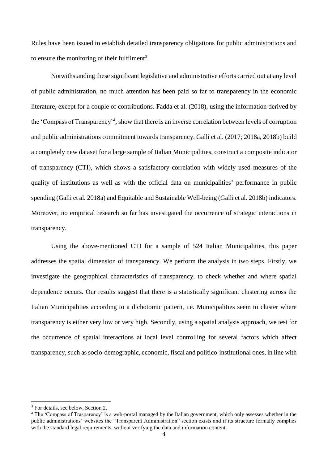Rules have been issued to establish detailed transparency obligations for public administrations and to ensure the monitoring of their fulfilment<sup>3</sup>.

Notwithstanding these significant legislative and administrative efforts carried out at any level of public administration, no much attention has been paid so far to transparency in the economic literature, except for a couple of contributions. Fadda et al. (2018), using the information derived by the 'Compass of Transparency'<sup>4</sup> , show that there is an inverse correlation between levels of corruption and public administrations commitment towards transparency. Galli et al. (2017; 2018a, 2018b) build a completely new dataset for a large sample of Italian Municipalities, construct a composite indicator of transparency (CTI), which shows a satisfactory correlation with widely used measures of the quality of institutions as well as with the official data on municipalities' performance in public spending (Galli et al. 2018a) and Equitable and Sustainable Well-being (Galli et al. 2018b) indicators. Moreover, no empirical research so far has investigated the occurrence of strategic interactions in transparency.

Using the above-mentioned CTI for a sample of 524 Italian Municipalities, this paper addresses the spatial dimension of transparency. We perform the analysis in two steps. Firstly, we investigate the geographical characteristics of transparency, to check whether and where spatial dependence occurs. Our results suggest that there is a statistically significant clustering across the Italian Municipalities according to a dichotomic pattern, i.e. Municipalities seem to cluster where transparency is either very low or very high. Secondly, using a spatial analysis approach, we test for the occurrence of spatial interactions at local level controlling for several factors which affect transparency, such as socio-demographic, economic, fiscal and politico-institutional ones, in line with

<sup>&</sup>lt;sup>3</sup> For details, see below, Section 2.

<sup>4</sup> The 'Compass of Trasparency' is a web-portal managed by the Italian government, which only assesses whether in the public administrations' websites the "Transparent Administration" section exists and if its structure formally complies with the standard legal requirements, without verifying the data and information content.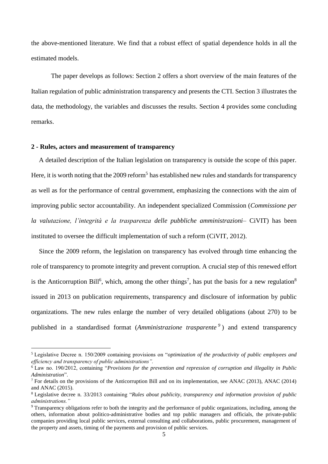the above-mentioned literature. We find that a robust effect of spatial dependence holds in all the estimated models.

The paper develops as follows: Section 2 offers a short overview of the main features of the Italian regulation of public administration transparency and presents the CTI. Section 3 illustrates the data, the methodology, the variables and discusses the results. Section 4 provides some concluding remarks.

#### **2 - Rules, actors and measurement of transparency**

**.** 

A detailed description of the Italian legislation on transparency is outside the scope of this paper. Here, it is worth noting that the 2009 reform<sup>5</sup> has established new rules and standards for transparency as well as for the performance of central government, emphasizing the connections with the aim of improving public sector accountability. An independent specialized Commission (*Commissione per la valutazione, l'integrità e la trasparenza delle pubbliche amministrazioni*– CiVIT) has been instituted to oversee the difficult implementation of such a reform (CiVIT, 2012).

Since the 2009 reform, the legislation on transparency has evolved through time enhancing the role of transparency to promote integrity and prevent corruption. A crucial step of this renewed effort is the Anticorruption Bill<sup>6</sup>, which, among the other things<sup>7</sup>, has put the basis for a new regulation<sup>8</sup> issued in 2013 on publication requirements, transparency and disclosure of information by public organizations. The new rules enlarge the number of very detailed obligations (about 270) to be published in a standardised format (*Amministrazione trasparente <sup>9</sup>* ) and extend transparency

<sup>5</sup> Legislative Decree n. 150/2009 containing provisions on "*optimization of the productivity of public employees and efficiency and transparency of public administrations".*

<sup>6</sup> Law no. 190/2012, containing "*Provisions for the prevention and repression of corruption and illegality in Public Administration*".

<sup>7</sup> For details on the provisions of the Anticorruption Bill and on its implementation, see ANAC (2013), ANAC (2014) and ANAC (2015).

<sup>8</sup> Legislative decree n. 33/2013 containing "*Rules about publicity, transparency and information provision of public administrations."*

<sup>9</sup> Transparency obligations refer to both the integrity and the performance of public organizations, including, among the others, information about politico-administrative bodies and top public managers and officials, the private-public companies providing local public services, external consulting and collaborations, public procurement, management of the property and assets, timing of the payments and provision of public services.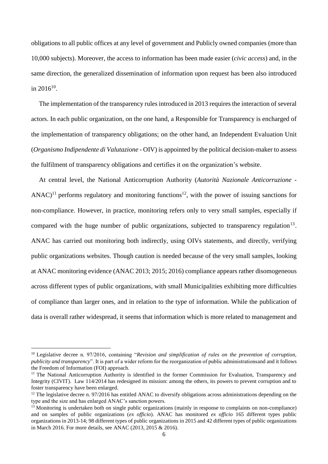obligations to all public offices at any level of government and Publicly owned companies (more than 10,000 subjects). Moreover, the access to information has been made easier (*civic access*) and, in the same direction, the generalized dissemination of information upon request has been also introduced in  $2016^{10}$ .

The implementation of the transparency rules introduced in 2013 requires the interaction of several actors. In each public organization, on the one hand, a Responsible for Transparency is encharged of the implementation of transparency obligations; on the other hand, an Independent Evaluation Unit (*Organismo Indipendente di Valutazione -* OIV) is appointed by the political decision-maker to assess the fulfilment of transparency obligations and certifies it on the organization's website.

At central level, the National Anticorruption Authority (*Autorità Nazionale Anticorruzione -* ANAC)<sup>11</sup> performs regulatory and monitoring functions<sup>12</sup>, with the power of issuing sanctions for non-compliance. However, in practice, monitoring refers only to very small samples, especially if compared with the huge number of public organizations, subjected to transparency regulation<sup>13</sup>. ANAC has carried out monitoring both indirectly, using OIVs statements, and directly, verifying public organizations websites. Though caution is needed because of the very small samples, looking at ANAC monitoring evidence (ANAC 2013; 2015; 2016) compliance appears rather disomogeneous across different types of public organizations, with small Municipalities exhibiting more difficulties of compliance than larger ones, and in relation to the type of information. While the publication of data is overall rather widespread, it seems that information which is more related to management and

<sup>10</sup> Legislative decree n. 97/2016, containing "*Revision and simplification of rules on the prevention of corruption, publicity and transparency*". It is part of a wider reform for the reorganization of public administrationsand and it follows the Freedom of Information (FOI) approach.

<sup>&</sup>lt;sup>11</sup> The National Anticorruption Authority is identified in the former Commission for Evaluation, Transparency and Integrity (CIVIT). Law 114/2014 has redesigned its mission: among the others, its powers to prevent corruption and to foster transparency have been enlarged.

 $12$  The legislative decree n. 97/2016 has entitled ANAC to diversify obligations across administrations depending on the type and the size and has enlarged ANAC's sanction powers.

 $13$  Monitoring is undertaken both on single public organizations (mainly in response to complaints on non-compliance) and on samples of public organizations (*ex officio*). ANAC has monitored *ex officio* 165 different types public organizations in 2013-14; 98 different types of public organizations in 2015 and 42 different types of public organizations in March 2016. For more details, see ANAC (2013, 2015 & 2016).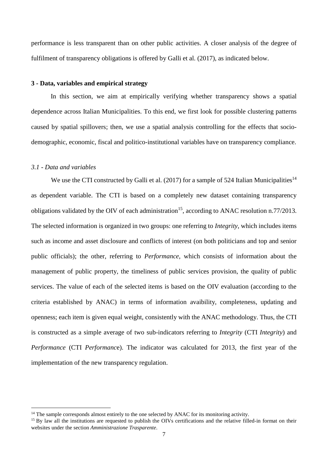performance is less transparent than on other public activities. A closer analysis of the degree of fulfilment of transparency obligations is offered by Galli et al. (2017), as indicated below.

#### **3 - Data, variables and empirical strategy**

In this section, we aim at empirically verifying whether transparency shows a spatial dependence across Italian Municipalities. To this end, we first look for possible clustering patterns caused by spatial spillovers; then, we use a spatial analysis controlling for the effects that sociodemographic, economic, fiscal and politico-institutional variables have on transparency compliance.

#### *3.1 - Data and variables*

**.** 

We use the CTI constructed by Galli et al. (2017) for a sample of 524 Italian Municipalities<sup>14</sup> as dependent variable. The CTI is based on a completely new dataset containing transparency obligations validated by the OIV of each administration<sup>15</sup>, according to ANAC resolution n.77/2013. The selected information is organized in two groups: one referring to *Integrity*, which includes items such as income and asset disclosure and conflicts of interest (on both politicians and top and senior public officials); the other, referring to *Performance*, which consists of information about the management of public property, the timeliness of public services provision, the quality of public services. The value of each of the selected items is based on the OIV evaluation (according to the criteria established by ANAC) in terms of information avaibility, completeness, updating and openness; each item is given equal weight, consistently with the ANAC methodology. Thus, the CTI is constructed as a simple average of two sub-indicators referring to *Integrity* (CTI *Integrity*) and *Performance* (CTI *Performanc*e). The indicator was calculated for 2013, the first year of the implementation of the new transparency regulation.

 $14$  The sample corresponds almost entirely to the one selected by ANAC for its monitoring activity.

<sup>&</sup>lt;sup>15</sup> By law all the institutions are requested to publish the OIVs certifications and the relative filled-in format on their websites under the section *Amministrazione Trasparente*.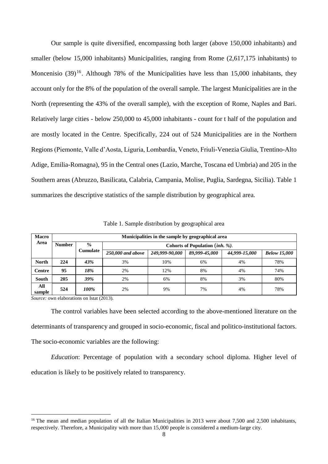Our sample is quite diversified, encompassing both larger (above 150,000 inhabitants) and smaller (below 15,000 inhabitants) Municipalities, ranging from Rome (2,617,175 inhabitants) to Moncenisio  $(39)^{16}$ . Although 78% of the Municipalities have less than 15,000 inhabitants, they account only for the 8% of the population of the overall sample. The largest Municipalities are in the North (representing the 43% of the overall sample), with the exception of Rome, Naples and Bari. Relatively large cities - below 250,000 to 45,000 inhabitants - count for t half of the population and are mostly located in the Centre. Specifically, 224 out of 524 Municipalities are in the Northern Regions (Piemonte, Valle d'Aosta, Liguria, Lombardia, Veneto, Friuli-Venezia Giulia, Trentino-Alto Adige, Emilia-Romagna), 95 in the Central ones (Lazio, Marche, Toscana ed Umbria) and 205 in the Southern areas (Abruzzo, Basilicata, Calabria, Campania, Molise, Puglia, Sardegna, Sicilia). Table 1 summarizes the descriptive statistics of the sample distribution by geographical area.

| <b>Macro</b>  |               | Municipalities in the sample by geographical area |                                          |                |               |               |                     |  |  |  |  |  |  |  |  |
|---------------|---------------|---------------------------------------------------|------------------------------------------|----------------|---------------|---------------|---------------------|--|--|--|--|--|--|--|--|
| Area          | <b>Number</b> | $\frac{0}{0}$                                     | Cohorts of Population ( <i>inh. %</i> ). |                |               |               |                     |  |  |  |  |  |  |  |  |
|               |               | Cumulate                                          | 250,000 and above                        | 249,999-90,000 | 89,999-45,000 | 44,999-15,000 | <b>Below 15,000</b> |  |  |  |  |  |  |  |  |
| <b>North</b>  | 224           | 43%                                               | 3%                                       | 10%            | 6%            | 4%            | 78%                 |  |  |  |  |  |  |  |  |
| <b>Centre</b> | 95            | 18%                                               | 2%                                       | 12%            | 8%            | 4%            | 74%                 |  |  |  |  |  |  |  |  |
| <b>South</b>  | 205           | 39%                                               | 2%                                       | 6%             | 8%            | 3%            | 80%                 |  |  |  |  |  |  |  |  |
| All<br>sample | 524           | 100%                                              | 2%                                       | 9%             | 7%            | 4%            | 78%                 |  |  |  |  |  |  |  |  |

Table 1. Sample distribution by geographical area

*Source:* own elaborations on Istat (2013).

**.** 

The control variables have been selected according to the above-mentioned literature on the determinants of transparency and grouped in socio-economic, fiscal and politico-institutional factors. The socio-economic variables are the following:

*Education*: Percentage of population with a secondary school diploma. Higher level of education is likely to be positively related to transparency.

<sup>&</sup>lt;sup>16</sup> The mean and median population of all the Italian Municipalities in 2013 were about 7,500 and 2,500 inhabitants, respectively. Therefore, a Municipality with more than 15,000 people is considered a medium-large city.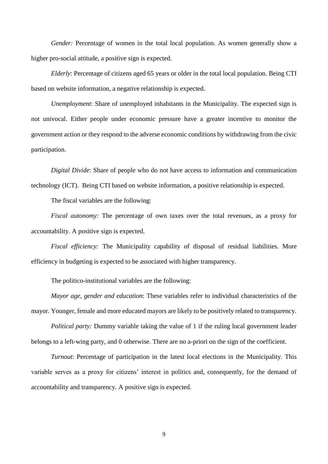*Gender:* Percentage of women in the total local population. As women generally show a higher pro-social attitude, a positive sign is expected.

*Elderly*: Percentage of citizens aged 65 years or older in the total local population. Being CTI based on website information, a negative relationship is expected.

*Unemployment*: Share of unemployed inhabitants in the Municipality. The expected sign is not univocal. Either people under economic pressure have a greater incentive to monitor the government action or they respond to the adverse economic conditions by withdrawing from the civic participation.

*Digital Divide*: Share of people who do not have access to information and communication technology (ICT). Being CTI based on website information, a positive relationship is expected.

The fiscal variables are the following:

*Fiscal autonomy:* The percentage of own taxes over the total revenues, as a proxy for accountability. A positive sign is expected.

*Fiscal efficiency:* The Municipality capability of disposal of residual liabilities. More efficiency in budgeting is expected to be associated with higher transparency.

The politico-institutional variables are the following:

*Mayor age*, *gender and education*: These variables refer to individual characteristics of the mayor. Younger, female and more educated mayors are likely to be positively related to transparency.

*Political party:* Dummy variable taking the value of 1 if the ruling local government leader belongs to a left-wing party, and 0 otherwise. There are no a-priori on the sign of the coefficient.

*Turnout*: Percentage of participation in the latest local elections in the Municipality. This variable serves as a proxy for citizens' interest in politics and, consequently, for the demand of accountability and transparency. A positive sign is expected.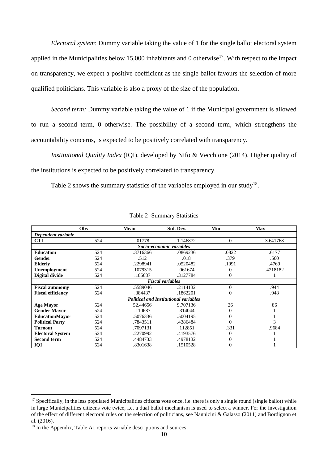*Electoral system*: Dummy variable taking the value of 1 for the single ballot electoral system applied in the Municipalities below 15,000 inhabitants and 0 otherwise<sup>17</sup>. With respect to the impact on transparency, we expect a positive coefficient as the single ballot favours the selection of more qualified politicians. This variable is also a proxy of the size of the population.

*Second term:* Dummy variable taking the value of 1 if the Municipal government is allowed to run a second term, 0 otherwise. The possibility of a second term, which strengthens the accountability concerns, is expected to be positively correlated with transparency.

*Institutional Quality Index* (IQI), developed by Nifo & Vecchione (2014). Higher quality of the institutions is expected to be positively correlated to transparency.

Table 2 shows the summary statistics of the variables employed in our study<sup>18</sup>.

|                          | <b>Obs</b> |          | Std. Dev.                                    | Min            | <b>Max</b> |  |  |  |  |  |  |  |
|--------------------------|------------|----------|----------------------------------------------|----------------|------------|--|--|--|--|--|--|--|
| Dependent variable       |            |          |                                              |                |            |  |  |  |  |  |  |  |
| <b>CTI</b>               | 524        | .01778   | 1.146872                                     | $\theta$       | 3.641768   |  |  |  |  |  |  |  |
| Socio-economic variables |            |          |                                              |                |            |  |  |  |  |  |  |  |
| <b>Education</b>         | 524        | .3716366 | .0869236                                     | .0822          | .6177      |  |  |  |  |  |  |  |
| Gender                   | 524        | .512     | .018                                         | .379           | .560       |  |  |  |  |  |  |  |
| <b>Elderly</b>           | 524        | .2298941 | .0520482                                     | .1091          | .4769      |  |  |  |  |  |  |  |
| Unemployment             | 524        | .1079315 | .061674                                      | $\overline{0}$ | .4218182   |  |  |  |  |  |  |  |
| Digital divide           | 524        | .185687  | .3127784                                     | $\overline{0}$ |            |  |  |  |  |  |  |  |
| <b>Fiscal variables</b>  |            |          |                                              |                |            |  |  |  |  |  |  |  |
| <b>Fiscal autonomy</b>   | 524        | .5589046 | .2114132                                     | $\theta$       | .944       |  |  |  |  |  |  |  |
| <b>Fiscal efficiency</b> | 524        | .384437  | .1862201                                     | $\overline{0}$ | .948       |  |  |  |  |  |  |  |
|                          |            |          | <b>Political and Institutional variables</b> |                |            |  |  |  |  |  |  |  |
| <b>Age Mayor</b>         | 524        | 52.44656 | 9.707136                                     | 26             | 86         |  |  |  |  |  |  |  |
| <b>Gender Mayor</b>      | 524        | .110687  | .314044                                      | $\theta$       |            |  |  |  |  |  |  |  |
| <b>EducationMayor</b>    | 524        | .5076336 | .5004195                                     | $\overline{0}$ |            |  |  |  |  |  |  |  |
| <b>Political Party</b>   | 524        | .7843511 | .4386484                                     | $\theta$       | 3          |  |  |  |  |  |  |  |
| <b>Turnout</b>           | 524        | .7097131 | .112851                                      | .331           | .9684      |  |  |  |  |  |  |  |
| <b>Electoral System</b>  | 524        | .2270992 | .4193576                                     | 0              |            |  |  |  |  |  |  |  |
| <b>Second term</b>       | 524        | .4484733 | .4978132                                     | 0              |            |  |  |  |  |  |  |  |
| IQI                      | 524        | .8301638 | .1510528                                     | $\overline{0}$ |            |  |  |  |  |  |  |  |

Table 2 -Summary Statistics

 $17$  Specifically, in the less populated Municipalities citizens vote once, i.e. there is only a single round (single ballot) while in large Municipalities citizens vote twice, i.e. a dual ballot mechanism is used to select a winner. For the investigation of the effect of different electoral rules on the selection of politicians, see Nannicini & Galasso (2011) and Bordignon et al. (2016).

<sup>&</sup>lt;sup>18</sup> In the Appendix, Table A1 reports variable descriptions and sources.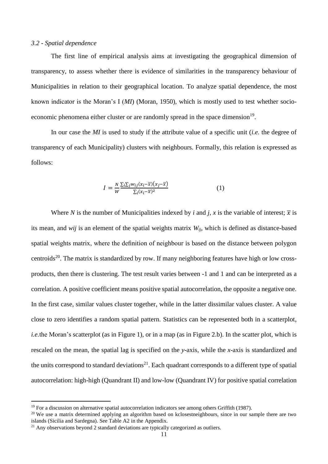#### *3.2 - Spatial dependence*

The first line of empirical analysis aims at investigating the geographical dimension of transparency, to assess whether there is evidence of similarities in the transparency behaviour of Municipalities in relation to their geographical location. To analyze spatial dependence, the most known indicator is the Moran's I (*MI*) (Moran, 1950), which is mostly used to test whether socioeconomic phenomena either cluster or are randomly spread in the space dimension<sup>19</sup>.

In our case the *MI* is used to study if the attribute value of a specific unit (*i.e.* the degree of transparency of each Municipality) clusters with neighbours. Formally, this relation is expressed as follows:

$$
I = \frac{N}{W} \frac{\sum_{i} \sum_{j} w_{ij} (x_i - \overline{x})(x_j - \overline{x})}{\sum_{i} (x_i - \overline{x})^2}
$$
(1)

Where *N* is the number of Municipalities indexed by *i* and *j*, *x* is the variable of interest;  $\overline{x}$  is its mean, and *wij* is an element of the spatial weights matrix *Wij*, which is defined as distance-based spatial weights matrix, where the definition of neighbour is based on the distance between polygon centroids<sup>20</sup>. The matrix is standardized by row. If many neighboring features have high or low crossproducts, then there is clustering. The test result varies between -1 and 1 and can be interpreted as a correlation. A positive coefficient means positive spatial autocorrelation, the opposite a negative one. In the first case, similar values cluster together, while in the latter dissimilar values cluster. A value close to zero identifies a random spatial pattern. Statistics can be represented both in a scatterplot, *i.e.*the Moran's scatterplot (as in Figure 1), or in a map (as in Figure 2.b). In the scatter plot, which is rescaled on the mean, the spatial lag is specified on the *y*-axis, while the *x*-axis is standardized and the units correspond to standard deviations<sup>21</sup>. Each quadrant corresponds to a different type of spatial autocorrelation: high-high (Quandrant II) and low-low (Quandrant IV) for positive spatial correlation

 $19$  For a discussion on alternative spatial autocorrelation indicators see among others Griffith (1987).

<sup>&</sup>lt;sup>20</sup> We use a matrix determined applying an algorithm based on kclosestneighbours, since in our sample there are two islands (Sicilia and Sardegna). See Table A2 in the Appendix.

 $21$  Any observations beyond 2 standard deviations are typically categorized as outliers.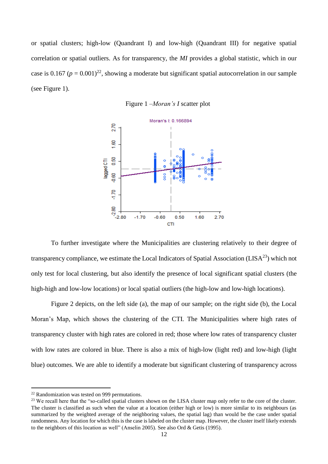or spatial clusters; high-low (Quandrant I) and low-high (Quandrant III) for negative spatial correlation or spatial outliers. As for transparency, the *MI* provides a global statistic, which in our case is 0.167 ( $p = 0.001$ )<sup>22</sup>, showing a moderate but significant spatial autocorrelation in our sample (see Figure 1).





To further investigate where the Municipalities are clustering relatively to their degree of transparency compliance, we estimate the Local Indicators of Spatial Association ( $LISA^{23}$ ) which not only test for local clustering, but also identify the presence of local significant spatial clusters (the high-high and low-low locations) or local spatial outliers (the high-low and low-high locations).

Figure 2 depicts, on the left side (a), the map of our sample; on the right side (b), the Local Moran's Map, which shows the clustering of the CTI. The Municipalities where high rates of transparency cluster with high rates are colored in red; those where low rates of transparency cluster with low rates are colored in blue. There is also a mix of high-low (light red) and low-high (light blue) outcomes. We are able to identify a moderate but significant clustering of transparency across

 $22$  Randomization was tested on 999 permutations.

<sup>&</sup>lt;sup>23</sup> We recall here that the "so-called spatial clusters shown on the LISA cluster map only refer to the core of the cluster. The cluster is classified as such when the value at a location (either high or low) is more similar to its neighbours (as summarized by the weighted average of the neighboring values, the spatial lag) than would be the case under spatial randomness. Any location for which this is the case is labeled on the cluster map. However, the cluster itself likely extends to the neighbors of this location as well" (Anselin 2005). See also Ord & Getis (1995).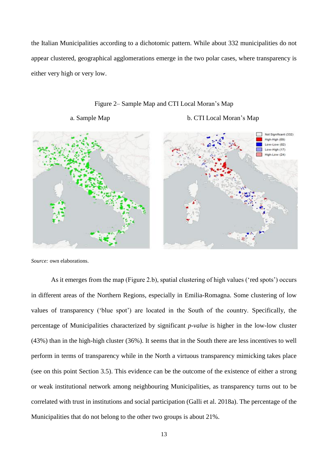the Italian Municipalities according to a dichotomic pattern. While about 332 municipalities do not appear clustered, geographical agglomerations emerge in the two polar cases, where transparency is either very high or very low.



#### Figure 2– Sample Map and CTI Local Moran's Map

a. Sample Map b. CTI Local Moran's Map

*Source:* own elaborations.

As it emerges from the map (Figure 2.b), spatial clustering of high values ('red spots') occurs in different areas of the Northern Regions, especially in Emilia-Romagna. Some clustering of low values of transparency ('blue spot') are located in the South of the country. Specifically, the percentage of Municipalities characterized by significant *p-value* is higher in the low-low cluster (43%) than in the high-high cluster (36%). It seems that in the South there are less incentives to well perform in terms of transparency while in the North a virtuous transparency mimicking takes place (see on this point Section 3.5). This evidence can be the outcome of the existence of either a strong or weak institutional network among neighbouring Municipalities, as transparency turns out to be correlated with trust in institutions and social participation (Galli et al. 2018a). The percentage of the Municipalities that do not belong to the other two groups is about 21%.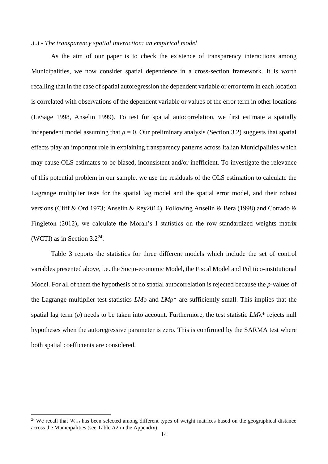#### *3.3 - The transparency spatial interaction: an empirical model*

As the aim of our paper is to check the existence of transparency interactions among Municipalities, we now consider spatial dependence in a cross-section framework. It is worth recalling that in the case of spatial autoregression the dependent variable or error term in each location is correlated with observations of the dependent variable or values of the error term in other locations (LeSage 1998, Anselin 1999). To test for spatial autocorrelation, we first estimate a spatially independent model assuming that  $\rho = 0$ . Our preliminary analysis (Section 3.2) suggests that spatial effects play an important role in explaining transparency patterns across Italian Municipalities which may cause OLS estimates to be biased, inconsistent and/or inefficient. To investigate the relevance of this potential problem in our sample, we use the residuals of the OLS estimation to calculate the Lagrange multiplier tests for the spatial lag model and the spatial error model, and their robust versions (Cliff & Ord 1973; Anselin & Rey2014). Following Anselin & Bera (1998) and Corrado & Fingleton (2012), we calculate the Moran's I statistics on the row-standardized weights matrix (WCTI) as in Section  $3.2^{24}$ .

Table 3 reports the statistics for three different models which include the set of control variables presented above, i.e. the Socio-economic Model, the Fiscal Model and Politico-institutional Model. For all of them the hypothesis of no spatial autocorrelation is rejected because the *p*-values of the Lagrange multiplier test statistics *LM*ρ and *LM*ρ\* are sufficiently small. This implies that the spatial lag term (*ρ*) needs to be taken into account. Furthermore, the test statistic *LM*λ\* rejects null hypotheses when the autoregressive parameter is zero. This is confirmed by the SARMA test where both spatial coefficients are considered.

<sup>&</sup>lt;sup>24</sup> We recall that  $W_{CTI}$  has been selected among different types of weight matrices based on the geographical distance across the Municipalities (see Table A2 in the Appendix).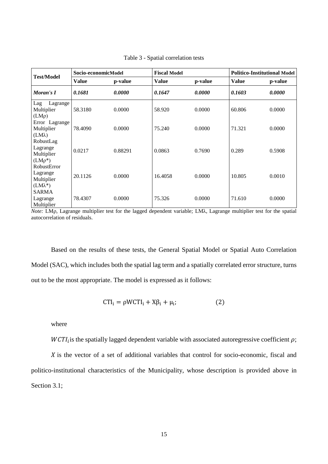|                                                          | Socio-economicModel |         | <b>Fiscal Model</b> |         | <b>Politico-Institutional Model</b> |         |  |  |
|----------------------------------------------------------|---------------------|---------|---------------------|---------|-------------------------------------|---------|--|--|
| <b>Test/Model</b>                                        | Value               | p-value | <b>Value</b>        | p-value | <b>Value</b>                        | p-value |  |  |
| Moran's I                                                | 0.1681              | 0.0000  | 0.1647              | 0.0000  | 0.1603                              | 0.0000  |  |  |
| Lag<br>Lagrange<br>Multiplier<br>$(LM\rho)$              | 58.3180             | 0.0000  | 58.920              | 0.0000  | 60.806                              | 0.0000  |  |  |
| Error Lagrange<br>Multiplier<br>$(LM\lambda)$            | 78.4090             | 0.0000  | 75.240              | 0.0000  | 71.321                              | 0.0000  |  |  |
| RobustLag<br>Lagrange<br>Multiplier<br>$(LM\rho^*)$      | 0.0217              | 0.88291 | 0.0863              | 0.7690  | 0.289                               | 0.5908  |  |  |
| RobustError<br>Lagrange<br>Multiplier<br>$(LM\lambda^*)$ | 20.1126             | 0.0000  | 16.4058             | 0.0000  | 10.805                              | 0.0010  |  |  |
| <b>SARMA</b><br>Lagrange<br>Multiplier                   | 78.4307             | 0.0000  | 75.326              | 0.0000  | 71.610                              | 0.0000  |  |  |

Table 3 - Spatial correlation tests

*Note:* LMρ, Lagrange multiplier test for the lagged dependent variable; LMλ, Lagrange multiplier test for the spatial autocorrelation of residuals.

Based on the results of these tests, the General Spatial Model or Spatial Auto Correlation Model (SAC), which includes both the spatial lag term and a spatially correlated error structure, turns out to be the most appropriate. The model is expressed as it follows:

$$
CTI_i = \rho WCTI_i + X\beta_i + \mu_i; \qquad (2)
$$

where

 $WCTI_i$  is the spatially lagged dependent variable with associated autoregressive coefficient  $\rho$ ;

 $\chi$  is the vector of a set of additional variables that control for socio-economic, fiscal and politico-institutional characteristics of the Municipality, whose description is provided above in Section 3.1;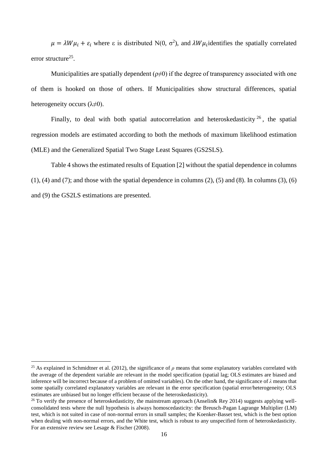$\mu = \lambda W \mu_i + \varepsilon_i$  where  $\varepsilon$  is distributed N(0,  $\sigma^2$ ), and  $\lambda W \mu_i$  identifies the spatially correlated error structure<sup>25</sup>.

Municipalities are spatially dependent  $(\rho \neq 0)$  if the degree of transparency associated with one of them is hooked on those of others. If Municipalities show structural differences, spatial heterogeneity occurs  $(\lambda \neq 0)$ .

Finally, to deal with both spatial autocorrelation and heteroskedasticity  $2^6$ , the spatial regression models are estimated according to both the methods of maximum likelihood estimation (MLE) and the Generalized Spatial Two Stage Least Squares (GS2SLS).

Table 4 shows the estimated results of Equation [2] without the spatial dependence in columns  $(1)$ ,  $(4)$  and  $(7)$ ; and those with the spatial dependence in columns  $(2)$ ,  $(5)$  and  $(8)$ . In columns  $(3)$ ,  $(6)$ and (9) the GS2LS estimations are presented.

<sup>&</sup>lt;sup>25</sup> As explained in Schmidtner et al. (2012), the significance of  $\rho$  means that some explanatory variables correlated with the average of the dependent variable are relevant in the model specification (spatial lag; OLS estimates are biased and inference will be incorrect because of a problem of omitted variables). On the other hand, the significance of *λ* means that some spatially correlated explanatory variables are relevant in the error specification (spatial error/heterogeneity; OLS estimates are unbiased but no longer efficient because of the heteroskedasticity).

 $^{26}$  To verify the presence of heteroskedasticity, the mainstream approach (Anselin $\&$  Rey 2014) suggests applying wellconsolidated tests where the null hypothesis is always homoscedasticity: the Breusch-Pagan Lagrange Multiplier (LM) test, which is not suited in case of non-normal errors in small samples; the Koenker-Basset test, which is the best option when dealing with non-normal errors, and the White test, which is robust to any unspecified form of heteroskedasticity. For an extensive review see Lesage & Fischer (2008).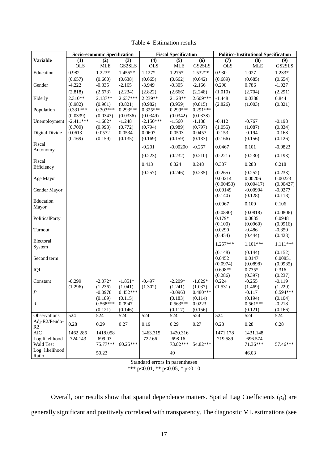|                 |             | Socio-economic Specification |                   | <b>Fiscal Specification</b> |                |                   |                   | <b>Politico-Institutional Specification</b> |                     |  |
|-----------------|-------------|------------------------------|-------------------|-----------------------------|----------------|-------------------|-------------------|---------------------------------------------|---------------------|--|
| <b>Variable</b> | (1)         | (2)                          | (3)               | (4)                         | (5)            | (6)               | (7)               | (8)                                         | (9)                 |  |
|                 | <b>OLS</b>  | <b>MLE</b>                   | GS2SLS            | <b>OLS</b>                  | <b>MLE</b>     | GS2SLS            | <b>OLS</b>        | <b>MLE</b>                                  | GS2SLS              |  |
| Education       | 0.982       | $1.223*$                     | 1.455**           | 1.127*                      | 1.275*         | 1.532**           | 0.930             | 1.027                                       | 1.233*              |  |
|                 | (0.657)     | (0.660)                      | (0.638)           | (0.665)                     | (0.662)        | (0.642)           | (0.689)           | (0.685)                                     | (0.654)             |  |
| Gender          | $-4.222$    | $-0.335$                     | $-2.165$          | $-3.949$                    | $-0.305$       | $-2.166$          | 0.298             | 0.786                                       | $-1.027$            |  |
|                 | (2.818)     | (2.673)                      | (2.234)           | (2.822)                     | (2.666)        | (2.248)           | (1.010)           | (2.704)                                     | (2.291)             |  |
| Elderly         | $2.310**$   | $2.137**$                    | $2.637***$        | 2.239**                     | 2.128**        | $2.609***$        | $-1.448$          | 0.0386                                      | 0.844               |  |
|                 | (0.982)     | (0.961)                      | (0.821)           | (0.982)                     | (0.959)        | (0.815)           | (2.826)           | (1.003)                                     | (0.821)             |  |
| Population      | $0.331***$  | $0.303***$                   | $0.293***$        | $0.325***$                  | $0.299***$     | $0.291***$        |                   |                                             |                     |  |
|                 | (0.0339)    | (0.0343)                     | (0.0336)          | (0.0349)                    | (0.0342)       | (0.0338)          |                   |                                             |                     |  |
| Unemployment    | $-2.411***$ | $-1.682*$                    | $-1.248$          | $-2.150***$                 | $-1.560$       | $-1.188$          | $-0.412$          | $-0.767$                                    | $-0.198$            |  |
|                 | (0.709)     | (0.993)                      | (0.772)           | (0.794)                     | (0.989)        | (0.797)           | (1.055)           | (1.087)                                     | (0.834)             |  |
| Digital Divide  | 0.0613      | 0.0572                       | 0.0534            | 0.0607                      | 0.0503         | 0.0457            | $-0.153$          | $-0.194$                                    | $-0.168$            |  |
|                 | (0.169)     | (0.159)                      | (0.135)           | (0.169)                     | (0.159)        | (0.133)           | (0.166)           | (0.156)                                     | (0.126)             |  |
| Fiscal          |             |                              |                   | $-0.201$                    | $-0.00200$     | $-0.267$          | 0.0467            | 0.101                                       | $-0.0823$           |  |
| Autonomy        |             |                              |                   |                             |                |                   |                   |                                             |                     |  |
| Fiscal          |             |                              |                   | (0.223)                     | (0.232)        | (0.210)           | (0.221)           | (0.230)                                     | (0.193)             |  |
| Efficiency      |             |                              |                   | 0.413                       | 0.324          | 0.248             | 0.337             | 0.283                                       | 0.218               |  |
|                 |             |                              |                   | (0.257)                     | (0.246)        | (0.235)           | (0.265)           | (0.252)                                     | (0.233)             |  |
| Age Mayor       |             |                              |                   |                             |                |                   | 0.00214           | 0.00206                                     | 0.00223             |  |
|                 |             |                              |                   |                             |                |                   | (0.00453)         | (0.00417)                                   | (0.00427)           |  |
| Gender Mayor    |             |                              |                   |                             |                |                   | 0.00149           | $-0.00904$                                  | $-0.0277$           |  |
|                 |             |                              |                   |                             |                |                   | (0.140)           | (0.128)                                     | (0.118)             |  |
| Education       |             |                              |                   |                             |                |                   | 0.0967            | 0.109                                       | 0.106               |  |
| Mayor           |             |                              |                   |                             |                |                   |                   |                                             |                     |  |
|                 |             |                              |                   |                             |                |                   | (0.0890)          | (0.0818)                                    | (0.0806)            |  |
| PoliticalParty  |             |                              |                   |                             |                |                   | $0.179*$          | 0.0635                                      | 0.0948              |  |
|                 |             |                              |                   |                             |                |                   | (0.100)           | (0.0960)                                    | (0.0916)            |  |
| Turnout         |             |                              |                   |                             |                |                   | 0.0290<br>(0.454) | $-0.486$<br>(0.444)                         | $-0.350$<br>(0.423) |  |
| Electoral       |             |                              |                   |                             |                |                   |                   |                                             |                     |  |
| System          |             |                              |                   |                             |                |                   | $1.257***$        | $1.101***$                                  | $1.111***$          |  |
|                 |             |                              |                   |                             |                |                   | (0.148)           | (0.144)                                     | (0.152)             |  |
| Second term     |             |                              |                   |                             |                |                   | 0.0452            | 0.0147                                      | 0.00851             |  |
|                 |             |                              |                   |                             |                |                   | (0.0974)          | (0.0898)                                    | (0.0935)            |  |
| IQI             |             |                              |                   |                             |                |                   | $0.698**$         | $0.735*$                                    | 0.316               |  |
|                 |             |                              |                   |                             |                |                   | (0.286)           | (0.397)                                     | (0.237)             |  |
| Constant        | $-0.299$    | $-2.072*$                    | $-1.851*$         | $-0.497$                    | $-2.209*$      | $-1.829*$         | 0.224             | $-0.255$                                    | $-0.119$            |  |
|                 | (1.296)     | (1.236)                      | (1.041)           | (1.302)                     | (1.241)        | (1.037)           | (1.531)           | (1.469)                                     | (1.229)             |  |
| $\cal P$        |             | $-0.0978$                    | $0.452***$        |                             | $-0.0963$      | $0.480***$        |                   | $-0.117$                                    | $0.594***$          |  |
|                 |             | (0.189)                      | (0.115)           |                             | (0.183)        | (0.114)           |                   | (0.194)                                     | (0.104)             |  |
| $\varLambda$    |             | $0.568***$<br>(0.121)        | 0.0947<br>(0.146) |                             | $0.563***$     | 0.0223            |                   | $0.561***$                                  | $-0.218$            |  |
| Observations    | 524         | 524                          | 524               | 524                         | (0.117)<br>524 | (0.156)<br>524    | 524               | (0.121)<br>524                              | (0.166)<br>524      |  |
| Adj-R2/Peudo-   |             |                              |                   |                             |                |                   |                   |                                             |                     |  |
| R2              | 0.28        | 0.29                         | 0.27              | 0.19                        | 0.29           | 0.27              | 0.28              | 0.28                                        | 0.28                |  |
| $\rm AIC$       | 1462.286    | 1418.058                     |                   | 1463.315                    | 1420.316       |                   | 1471.178          | 1431.148                                    |                     |  |
| Log likelihood  | $-724.143$  | $-699.03$                    |                   | $-722.66$                   | $-698.16$      |                   | -719.589          | $-696.574$                                  |                     |  |
| Wald Test       |             | $75.77***$                   | $60.25***$        |                             |                | 73.82*** 54.82*** |                   | 71.36***                                    | 57.46***            |  |
| Log likelihood  |             |                              |                   |                             |                |                   |                   |                                             |                     |  |
| Ratio           |             | 50.23                        |                   |                             | 49             |                   |                   | 46.03                                       |                     |  |

Table 4–Estimation results

Standard errors in parentheses

\*\*\* p<0.01, \*\* p<0.05, \* p<0.10

Overall, our results show that spatial dependence matters. Spatial Lag Coefficients ( $\rho_s$ ) are generally significant and positively correlated with transparency. The diagnostic ML estimations (see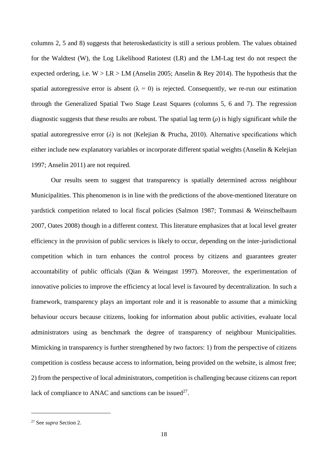columns 2, 5 and 8) suggests that heteroskedasticity is still a serious problem. The values obtained for the Waldtest (W), the Log Likelihood Ratiotest (LR) and the LM-Lag test do not respect the expected ordering, i.e.  $W > LR > LM$  (Anselin 2005; Anselin & Rey 2014). The hypothesis that the spatial autoregressive error is absent  $(\lambda = 0)$  is rejected. Consequently, we re-run our estimation through the Generalized Spatial Two Stage Least Squares (columns 5, 6 and 7). The regression diagnostic suggests that these results are robust. The spatial lag term (*ρ*) is higly significant while the spatial autoregressive error (*λ*) is not (Kelejian & Prucha, 2010). Alternative specifications which either include new explanatory variables or incorporate different spatial weights (Anselin & Kelejian 1997; Anselin 2011) are not required.

Our results seem to suggest that transparency is spatially determined across neighbour Municipalities. This phenomenon is in line with the predictions of the above-mentioned literature on yardstick competition related to local fiscal policies (Salmon 1987; Tommasi & Weinschelbaum 2007, Oates 2008) though in a different context. This literature emphasizes that at local level greater efficiency in the provision of public services is likely to occur, depending on the inter-jurisdictional competition which in turn enhances the control process by citizens and guarantees greater accountability of public officials (Qian & Weingast 1997). Moreover, the experimentation of innovative policies to improve the efficiency at local level is favoured by decentralization. In such a framework, transparency plays an important role and it is reasonable to assume that a mimicking behaviour occurs because citizens, looking for information about public activities, evaluate local administrators using as benchmark the degree of transparency of neighbour Municipalities. Mimicking in transparency is further strengthened by two factors: 1) from the perspective of citizens competition is costless because access to information, being provided on the website, is almost free; 2) from the perspective of local administrators, competition is challenging because citizens can report lack of compliance to ANAC and sanctions can be issued<sup>27</sup>.

 $\overline{\phantom{a}}$ 

<sup>27</sup> See *supra* Section 2.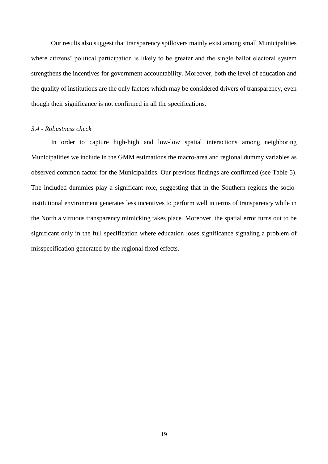Our results also suggest that transparency spillovers mainly exist among small Municipalities where citizens' political participation is likely to be greater and the single ballot electoral system strengthens the incentives for government accountability. Moreover, both the level of education and the quality of institutions are the only factors which may be considered drivers of transparency, even though their significance is not confirmed in all the specifications.

#### *3.4 - Robustness check*

In order to capture high-high and low-low spatial interactions among neighboring Municipalities we include in the GMM estimations the macro-area and regional dummy variables as observed common factor for the Municipalities. Our previous findings are confirmed (see Table 5). The included dummies play a significant role, suggesting that in the Southern regions the socioinstitutional environment generates less incentives to perform well in terms of transparency while in the North a virtuous transparency mimicking takes place. Moreover, the spatial error turns out to be significant only in the full specification where education loses significance signaling a problem of misspecification generated by the regional fixed effects.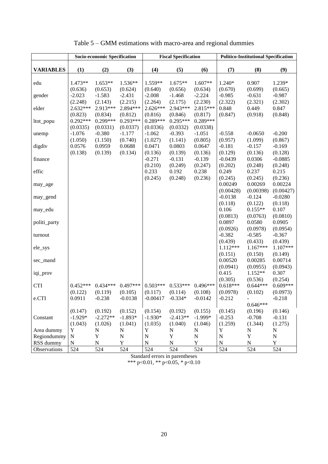|                  |                                 | Socio-economic Specification     |                                 |                                  | <b>Fiscal Specification</b>      |                                 | <b>Politico-Institutional Specification</b> |                                  |                                   |  |
|------------------|---------------------------------|----------------------------------|---------------------------------|----------------------------------|----------------------------------|---------------------------------|---------------------------------------------|----------------------------------|-----------------------------------|--|
| <b>VARIABLES</b> | (1)                             | (2)                              | (3)                             | (4)                              | (5)                              | (6)                             | (7)                                         | (8)                              | (9)                               |  |
| edu              | $1.473**$<br>(0.636)            | $1.653**$<br>(0.653)             | $1.536**$<br>(0.624)            | 1.559**<br>(0.640)               | $1.675**$<br>(0.656)             | 1.607**<br>(0.634)              | 1.240*<br>(0.670)                           | 0.907<br>(0.699)                 | 1.239*<br>(0.665)                 |  |
| gender           | $-2.023$                        | $-1.583$                         | $-2.431$                        | $-2.008$                         | $-1.468$                         | $-2.224$                        | $-0.985$                                    | $-0.631$                         | $-0.987$                          |  |
| elder            | (2.248)<br>2.632***<br>(0.823)  | (2.143)<br>2.913***<br>(0.834)   | (2.215)<br>2.894 ***<br>(0.812) | (2.264)<br>$2.626***$<br>(0.816) | (2.175)<br>2.943***<br>(0.846)   | (2.230)<br>2.815***<br>(0.817)  | (2.322)<br>0.848<br>(0.847)                 | (2.321)<br>0.449<br>(0.918)      | (2.302)<br>0.847<br>(0.848)       |  |
| ltot_popu        | $0.292***$<br>(0.0335)          | $0.299***$<br>(0.0331)           | $0.293***$<br>(0.0337)          | $0.289***$<br>(0.0336)           | $0.295***$<br>(0.0332)           | $0.289***$<br>(0.0338)          |                                             |                                  |                                   |  |
| unemp            | $-1.076$<br>(1.050)             | $-0.380$<br>(1.150)              | $-1.177$<br>(0.740)             | $-1.062$<br>(1.027)              | $-0.393$<br>(1.141)              | $-1.051$<br>(0.805)             | $-0.558$<br>(0.957)                         | $-0.0650$<br>(1.099)             | $-0.200$<br>(0.867)               |  |
| digdiv           | 0.0576<br>(0.138)               | 0.0959<br>(0.139)                | 0.0688<br>(0.134)               | 0.0471<br>(0.136)                | 0.0803<br>(0.139)                | 0.0647<br>(0.136)               | $-0.181$<br>(0.129)                         | $-0.157$<br>(0.136)              | $-0.169$<br>(0.128)               |  |
| finance          |                                 |                                  |                                 | $-0.271$<br>(0.210)              | $-0.131$<br>(0.249)              | $-0.139$<br>(0.247)             | $-0.0439$<br>(0.202)                        | 0.0306<br>(0.248)                | $-0.0885$<br>(0.248)              |  |
| effic            |                                 |                                  |                                 | 0.233                            | 0.192                            | 0.238                           | 0.249                                       | 0.237                            | 0.215                             |  |
| may_age          |                                 |                                  |                                 | (0.245)                          | (0.248)                          | (0.236)                         | (0.245)<br>0.00249                          | (0.245)<br>0.00269               | (0.236)<br>0.00224                |  |
| may_gend         |                                 |                                  |                                 |                                  |                                  |                                 | (0.00428)<br>$-0.0138$<br>(0.118)           | (0.00398)<br>$-0.124$<br>(0.122) | (0.00427)<br>$-0.0280$<br>(0.118) |  |
| may_edu          |                                 |                                  |                                 |                                  |                                  |                                 | 0.106<br>(0.0813)                           | $0.155**$<br>(0.0763)            | 0.107<br>(0.0810)                 |  |
| politi_party     |                                 |                                  |                                 |                                  |                                  |                                 | 0.0897<br>(0.0926)                          | 0.0580<br>(0.0978)               | 0.0905<br>(0.0954)                |  |
| turnout          |                                 |                                  |                                 |                                  |                                  |                                 | $-0.382$<br>(0.439)                         | $-0.585$<br>(0.433)              | $-0.367$<br>(0.439)               |  |
| ele_sys          |                                 |                                  |                                 |                                  |                                  |                                 | 1.112***<br>(0.151)                         | $1.167***$<br>(0.150)            | 1.107***<br>(0.149)               |  |
| sec_mand         |                                 |                                  |                                 |                                  |                                  |                                 | 0.00520<br>(0.0941)                         | 0.00285<br>(0.0955)              | 0.00714<br>(0.0943)               |  |
| iqi_prov         |                                 |                                  |                                 |                                  |                                  |                                 | 0.415<br>(0.305)                            | 1.152**<br>(0.536)               | 0.307<br>(0.254)                  |  |
| <b>CTI</b>       | $0.452***$<br>(0.122)           | $0.434***$<br>(0.119)            | $0.497***$<br>(0.105)           | $0.503***$<br>(0.117)            | $0.533***$<br>(0.114)            | $0.496***$<br>(0.108)           | $0.618***$<br>(0.0978)                      | $0.644***$<br>(0.102)            | $0.609***$<br>(0.0973)            |  |
| e.CTI            | 0.0911                          | $-0.238$                         | $-0.0138$                       | $-0.00417$                       | $-0.334*$                        | $-0.0142$                       | $-0.212$                                    | $\sim$ 10 $\pm$<br>$0.646***$    | $-0.218$                          |  |
| Constant         | (0.147)<br>$-1.929*$<br>(1.043) | (0.192)<br>$-2.272**$<br>(1.026) | (0.152)<br>$-1.893*$<br>(1.041) | (0.154)<br>$-1.930*$<br>(1.035)  | (0.192)<br>$-2.413**$<br>(1.040) | (0.155)<br>$-1.999*$<br>(1.046) | (0.145)<br>$-0.253$<br>(1.259)              | (0.196)<br>$-0.708$<br>(1.344)   | (0.146)<br>$-0.131$<br>(1.275)    |  |
| Area dummy       | Y                               | ${\bf N}$                        | ${\bf N}$                       | $\mathbf Y$                      | ${\bf N}$                        | ${\bf N}$                       | Y                                           | $\mathbf N$                      | ${\bf N}$                         |  |
| Regiondummy      | ${\bf N}$                       | $\mathbf Y$                      | ${\bf N}$                       | $\mathbf N$                      | $\mathbf Y$                      | $\mathbf N$                     | N                                           | Y                                | $\mathbf N$                       |  |
| RSS dummy        | ${\bf N}$                       | ${\bf N}$                        | Y                               | ${\bf N}$                        | ${\bf N}$                        | Y                               | ${\bf N}$                                   | ${\bf N}$                        | Y                                 |  |
| Observations     | 524                             | 524                              | 524                             | 524                              | 524                              | 524                             | 524                                         | 524                              | 524                               |  |

Table 5 – GMM estimations with macro-area and regional dummies

Standard errors in parentheses \*\*\* p<0.01, \*\* p<0.05, \* p<0.10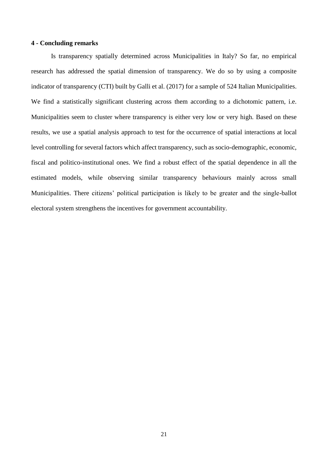#### **4 - Concluding remarks**

Is transparency spatially determined across Municipalities in Italy? So far, no empirical research has addressed the spatial dimension of transparency. We do so by using a composite indicator of transparency (CTI) built by Galli et al. (2017) for a sample of 524 Italian Municipalities. We find a statistically significant clustering across them according to a dichotomic pattern, i.e. Municipalities seem to cluster where transparency is either very low or very high. Based on these results, we use a spatial analysis approach to test for the occurrence of spatial interactions at local level controlling for several factors which affect transparency, such as socio-demographic, economic, fiscal and politico-institutional ones. We find a robust effect of the spatial dependence in all the estimated models, while observing similar transparency behaviours mainly across small Municipalities. There citizens' political participation is likely to be greater and the single-ballot electoral system strengthens the incentives for government accountability.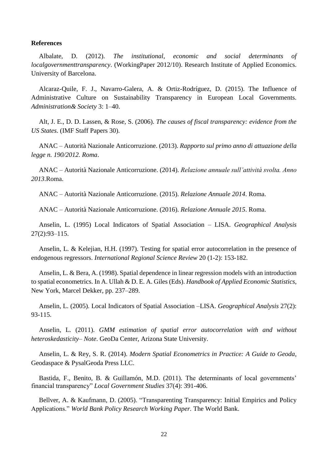#### **References**

Albalate, D. (2012). *The institutional, economic and social determinants of localgovernmenttransparency*. (WorkingPaper 2012/10). Research Institute of Applied Economics. University of Barcelona.

Alcaraz-Quile, F. J., Navarro-Galera, A. & Ortiz-Rodríguez, D. (2015). The Influence of Administrative Culture on Sustainability Transparency in European Local Governments. *Administration& Society* 3: 1–40.

Alt, J. E., D. D. Lassen, & Rose, S. (2006). *The causes of fiscal transparency: evidence from the US States*. (IMF Staff Papers 30).

ANAC – Autorità Nazionale Anticorruzione. (2013). *Rapporto sul primo anno di attuazione della legge n. 190/2012. Roma*.

ANAC – Autorità Nazionale Anticorruzione. (2014). *Relazione annuale sull'attività svolta. Anno 2013*.Roma.

ANAC – Autorità Nazionale Anticorruzione. (2015). *Relazione Annuale 2014*. Roma.

ANAC – Autorità Nazionale Anticorruzione. (2016). *Relazione Annuale 2015*. Roma.

Anselin, L. (1995) Local Indicators of Spatial Association – LISA. *Geographical Analysis* 27(2):93–115.

Anselin, L. & Kelejian, H.H. (1997). Testing for spatial error autocorrelation in the presence of endogenous regressors. *International Regional Science Review* 20 (1-2): 153-182.

Anselin, L. & Bera, A. (1998). Spatial dependence in linear regression models with an introduction to spatial econometrics. In A. Ullah & D. E. A. Giles (Eds). *Handbook of Applied Economic Statistics*, New York, Marcel Dekker, pp. 237–289.

Anselin, L. (2005). Local Indicators of Spatial Association –LISA. *Geographical Analysis* 27(2): 93-115.

Anselin, L. (2011). *GMM estimation of spatial error autocorrelation with and without heteroskedasticity– Note*. GeoDa Center, Arizona State University.

Anselin, L. & Rey, S. R. (2014). *Modern Spatial Econometrics in Practice: A Guide to Geoda*, Geodaspace & PysalGeoda Press LLC.

Bastida, F., Benito, B. & Guillamón, M.D. (2011). The determinants of local governments' financial transparency" *Local Government Studies* 37(4): 391-406.

Bellver, A. & Kaufmann, D. (2005). "Transparenting Transparency: Initial Empirics and Policy Applications." *World Bank Policy Research Working Paper.* The World Bank.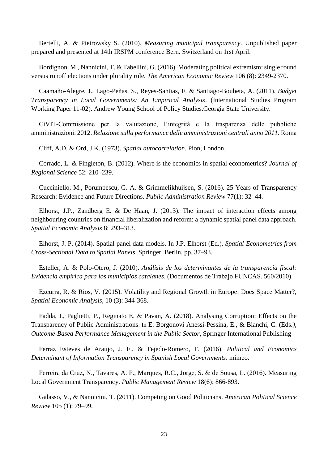Bertelli, A. & Pietrowsky S. (2010). *Measuring municipal transparency*. Unpublished paper prepared and presented at 14th IRSPM conference Bern. Switzerland on 1rst April.

Bordignon, M., Nannicini, T. & Tabellini, G. (2016)[. Moderating political extremism: single round](javascript:void(0))  [versus runoff elections under plurality](javascript:void(0)) rule. *The American Economic Review* 106 (8): 2349-2370.

Caamaño-Alegre, J., Lago-Peñas, S., Reyes-Santias, F. & Santiago-Boubeta, A. (2011). *Budget Transparency in Local Governments: An Empirical Analysis*. (International Studies Program Working Paper 11-02). Andrew Young School of Policy Studies.Georgia State University.

CiVIT-Commissione per la valutazione, l'integrità e la trasparenza delle pubbliche amministrazioni. 2012. *Relazione sulla performance delle amministrazioni centrali anno 2011*. Roma

Cliff, A.D. & Ord, J.K. (1973). *Spatial autocorrelation*. Pion, London.

Corrado, L. & Fingleton, B. (2012). Where is the economics in spatial econometrics? *Journal of Regional Science* 52: 210–239.

Cucciniello, M., Porumbescu, G. A. & Grimmelikhuijsen, S. (2016). 25 Years of Transparency Research: Evidence and Future Directions. *Public Administration Review* 77(1): 32–44.

Elhorst, J.P., Zandberg E. & De Haan, J. (2013). The impact of interaction effects among neighbouring countries on financial liberalization and reform: a dynamic spatial panel data approach. *Spatial Economic Analysis* 8: 293–313.

Elhorst, J. P. (2014). Spatial panel data models. In J.P. Elhorst (Ed.). *Spatial Econometrics from Cross-Sectional Data to Spatial Panels*. Springer, Berlin, pp. 37–93.

Esteller, A. & Polo-Otero, J. (2010). *Análisis de los determinantes de la transparencia fiscal: Evidencia empírica para los municipios catalanes*. (Documentos de Trabajo FUNCAS. 560/2010).

Ezcurra, R. & Rios, V. (2015). Volatility and Regional Growth in Europe: Does Space Matter?, *Spatial Economic Analysis*, 10 (3): 344-368.

Fadda, I., Paglietti, P., Reginato E. & Pavan, A. (2018). Analysing Corruption: Effects on the Transparency of Public Administrations. In E. Borgonovi Anessi-Pessina, E., & Bianchi, C. (Eds*.), Outcome-Based Performance Management in the Public Sector*, Springer International Publishing

Ferraz Esteves de Araujo, J. F., & Tejedo-Romero, F. (2016). *Political and Economics Determinant of Information Transparency in Spanish Local Governments*. mimeo.

Ferreira da Cruz, N., Tavares, A. F., Marques, R.C., Jorge, S. & de Sousa, L. (2016). Measuring Local Government Transparency. *Public Management Review* 18(6): 866-893.

Galasso, V., & Nannicini, T. (2011). Competing on Good Politicians. *American Political Science Review* 105 (1): 79–99.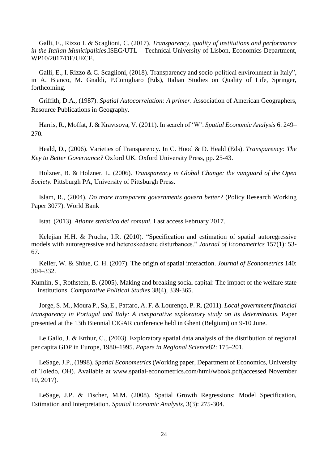Galli, E., Rizzo I. & Scaglioni, C. (2017). *Transparency, quality of institutions and performance in the Italian Municipalities*.ISEG/UTL – Technical University of Lisbon, Economics Department, WP10/2017/DE/UECE.

Galli, E., I. Rizzo & C. Scaglioni, (2018). Transparency and socio-political environment in Italy", in A. Bianco, M. Gnaldi, P.Conigliaro (Eds), Italian Studies on Quality of Life, Springer, forthcoming.

Griffith, D.A., (1987). *Spatial Autocorrelation: A primer*. Association of American Geographers, Resource Publications in Geography.

Harris, R., Moffat, J. & Kravtsova, V. (2011). In search of 'W'. *Spatial Economic Analysis* 6: 249– 270.

Heald, D., (2006). Varieties of Transparency. In C. Hood & D. Heald (Eds). *Transparency: The Key to Better Governance?* Oxford UK. Oxford University Press, pp. 25-43.

Holzner, B. & Holzner, L. (2006). *Transparency in Global Change: the vanguard of the Open Society.* Pittsburgh PA, University of Pittsburgh Press.

Islam, R., (2004). *Do more transparent governments govern better?* (Policy Research Working Paper 3077). World Bank

Istat. (2013). *Atlante statistico dei comuni*. Last access February 2017.

Kelejian H.H. & Prucha, I.R. (2010). "Specification and estimation of spatial autoregressive models with autoregressive and heteroskedastic disturbances." *Journal of Econometrics* 157(1): 53- 67.

Keller, W. & Shiue, C. H. (2007). The origin of spatial interaction. *Journal of Econometrics* 140: 304–332.

Kumlin, S., Rothstein, B. (2005). Making and breaking social capital: The impact of the welfare state institutions. *Comparative Political Studies* 38(4), 339-365.

Jorge, S. M., Moura P., Sa, E., Pattaro, A. F. & Lourenço, P. R. (2011). *Local government financial transparency in Portugal and Italy: A comparative exploratory study on its determinants.* Paper presented at the 13th Biennial CIGAR conference held in Ghent (Belgium) on 9-10 June.

Le Gallo, J. & Erthur, C., (2003). Exploratory spatial data analysis of the distribution of regional per capita GDP in Europe, 1980–1995. *Papers in Regional Science*82: 175–201.

LeSage, J.P., (1998). *Spatial Econometrics* (Working paper, Department of Economics, University of Toledo, OH). Available at [www.spatial-econometrics.com/html/wbook.pdf\(](http://www.spatial-econometrics.com/html/wbook.pdf)accessed November 10, 2017).

LeSage, J.P. & Fischer, M.M. (2008). Spatial Growth Regressions: Model Specification, Estimation and Interpretation. *Spatial Economic Analysis*, 3(3): 275-304.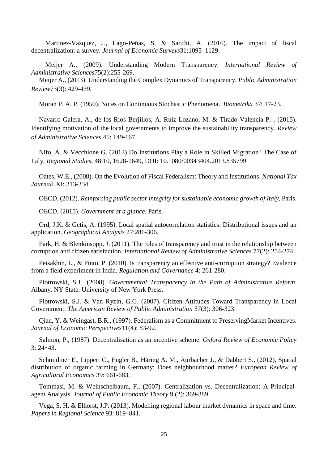Martinez-Vazquez, J., Lago-Peñas, S. & Sacchi, A. (2016). The impact of fiscal decentralization: a survey. *Journal of Economic Surveys*31:1095–1129.

Meijer A., (2009). Understanding Modern Transparency. *International Review of Administrative Sciences*75(2):255-269.

Meijer A., (2013). Understanding the Complex Dynamics of Transparency. *Public Administration Review*73(3): 429-439.

Moran P. A. P. (1950). Notes on Continuous Stochastic Phenomena. *Biometrika* 37: 17-23.

Navarro Galera, A., de los Rios Berjillos, A. Ruiz Lozano, M. & Tirado Valencia P. , (2015). Identifying motivation of the local governments to improve the sustainability transparency. *Review of Administrative Sciences* 45: 149-167.

Nifo, A. & Vecchione G. (2013) Do Institutions Play a Role in Skilled Migration? The Case of Italy, *Regional Studies*, 48:10, 1628-1649, DOI: 10.1080/00343404.2013.835799

Oates, W.E., (2008). On the Evolution of Fiscal Federalism: Theory and Institutions. *National Tax Journal*LXI: 313-334.

OECD, (2012). *Reinforcing public sector integrity for sustainable economic growth of Italy*, Paris.

OECD, (2015). *Government at a glance,* Paris.

Ord, J.K. & Getis, A. (1995). Local spatial autocorrelation statistics: Distributional issues and an application. *Geographical Analysis* 27:286-306.

Park, H. & Blenkinsopp, J. (2011). The roles of transparency and trust in the relationship between corruption and citizen satisfaction. *International Review of Administrative Sciences* 77(2): 254-274.

Peisakhin, L., & Pinto, P. (2010). Is transparency an effective anti-corruption strategy? Evidence from a field experiment in India. *Regulation and Governance* 4: 261-280.

Piotrowski, S.J., (2008). *Governmental Transparency in the Path of Administrative Reform*. Albany. NY State. University of New York Press.

Piotrowski, S.J. & Van Ryzin, G.G. (2007). Citizen Attitudes Toward Transparency in Local Government. *The American Review of Public Administration* 37(3): 306-323.

Qian, Y. & Weingast, B.R., (1997). Federalism as a Commitment to PreservingMarket Incentives. *Journal of Economic Perspectives*11(4): 83-92.

Salmon, P., (1987). Decentralisation as an incentive scheme. *Oxford Review of Economic Policy* 3: 24–43.

Schmidtner E., Lippert C., Engler B., Häring A. M., Aurbacher J., & Dabbert S., (2012). Spatial distribution of organic farming in Germany: Does neighbourhood matter? *European Review of Agricultural Economics* 39: 661-683.

Tommasi, M. & Weinschelbaum, F., (2007). Centralization vs. Decentralization: A Principalagent Analysis. *Journal of Public Economic Theory* 9 (2): 369-389.

Vega, S. H. & Elhorst, J.P. (2013). Modelling regional labour market dynamics in space and time. *Papers in Regional Science* 93: 819–841.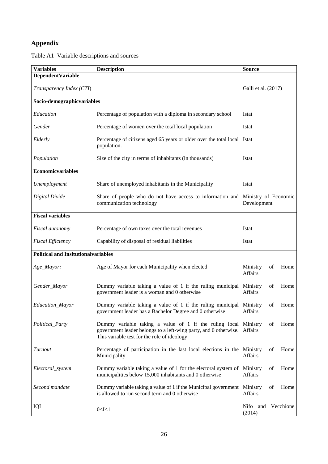### **Appendix**

Table A1–Variable descriptions and sources

| <b>Variables</b>                           | <b>Description</b>                                                                                                                                                                         | <b>Source</b>                |    |      |
|--------------------------------------------|--------------------------------------------------------------------------------------------------------------------------------------------------------------------------------------------|------------------------------|----|------|
| DependentVariable                          |                                                                                                                                                                                            |                              |    |      |
| Transparency Index (CTI)                   |                                                                                                                                                                                            | Galli et al. (2017)          |    |      |
| Socio-demographicvariables                 |                                                                                                                                                                                            |                              |    |      |
| Education                                  | Percentage of population with a diploma in secondary school                                                                                                                                | Istat                        |    |      |
| Gender                                     | Percentage of women over the total local population                                                                                                                                        | Istat                        |    |      |
| Elderly                                    | Percentage of citizens aged 65 years or older over the total local Istat<br>population.                                                                                                    |                              |    |      |
| Population                                 | Size of the city in terms of inhabitants (in thousands)                                                                                                                                    | Istat                        |    |      |
| <b>Economicvariables</b>                   |                                                                                                                                                                                            |                              |    |      |
| Unemployment                               | Share of unemployed inhabitants in the Municipality                                                                                                                                        | Istat                        |    |      |
| Digital Divide                             | Share of people who do not have access to information and Ministry of Economic<br>communication technology                                                                                 | Development                  |    |      |
| <b>Fiscal variables</b>                    |                                                                                                                                                                                            |                              |    |      |
| Fiscal autonomy                            | Percentage of own taxes over the total revenues                                                                                                                                            | Istat                        |    |      |
| <b>Fiscal Efficiency</b>                   | Capability of disposal of residual liabilities                                                                                                                                             | Istat                        |    |      |
| <b>Political and Insitutionalvariables</b> |                                                                                                                                                                                            |                              |    |      |
| Age_Mayor:                                 | Age of Mayor for each Municipality when elected                                                                                                                                            | Ministry<br>Affairs          | of | Home |
| Gender_Mayor                               | Dummy variable taking a value of 1 if the ruling municipal Ministry<br>government leader is a woman and 0 otherwise                                                                        | Affairs                      | of | Home |
| Education_Mayor                            | Dummy variable taking a value of 1 if the ruling municipal Ministry<br>government leader has a Bachelor Degree and 0 otherwise                                                             | Affairs                      | οf | Home |
| Political_Party                            | Dummy variable taking a value of 1 if the ruling local Ministry<br>government leader belongs to a left-wing party, and 0 otherwise. Affairs<br>This variable test for the role of ideology |                              | οf | Home |
| Turnout                                    | Percentage of participation in the last local elections in the Ministry<br>Municipality                                                                                                    | Affairs                      | οf | Home |
| Electoral_system                           | Dummy variable taking a value of 1 for the electoral system of Ministry<br>municipalities below 15,000 inhabitants and 0 otherwise                                                         | Affairs                      | of | Home |
| Second mandate                             | Dummy variable taking a value of 1 if the Municipal government Ministry<br>is allowed to run second term and 0 otherwise                                                                   | Affairs                      | of | Home |
| IQI                                        | 0 < I < 1                                                                                                                                                                                  | Nifo and Vecchione<br>(2014) |    |      |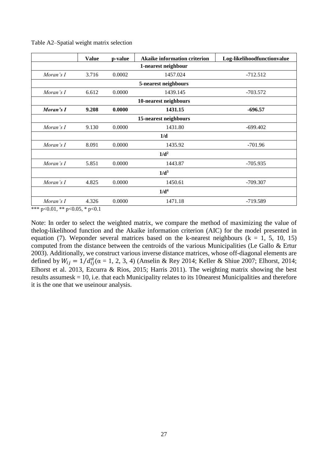|                       | <b>Value</b>          | p-value | <b>Akaike information criterion</b> | Log-likelihoodfunctionvalue |  |  |  |  |  |  |  |
|-----------------------|-----------------------|---------|-------------------------------------|-----------------------------|--|--|--|--|--|--|--|
|                       | 1-nearest neighbour   |         |                                     |                             |  |  |  |  |  |  |  |
| Moran's I             | 3.716                 | 0.0002  | 1457.024                            | $-712.512$                  |  |  |  |  |  |  |  |
|                       |                       |         | 5-nearest neighbours                |                             |  |  |  |  |  |  |  |
| Moran's I             | 6.612                 | 0.0000  | 1439.145                            | $-703.572$                  |  |  |  |  |  |  |  |
| 10-nearest neighbours |                       |         |                                     |                             |  |  |  |  |  |  |  |
| Moran's I             | 9.208                 | 0.0000  | 1431.15                             | $-696.57$                   |  |  |  |  |  |  |  |
|                       | 15-nearest neighbours |         |                                     |                             |  |  |  |  |  |  |  |
| Moran's I             | 9.130                 | 0.0000  | 1431.80                             | $-699.402$                  |  |  |  |  |  |  |  |
|                       |                       |         | 1/d                                 |                             |  |  |  |  |  |  |  |
| Moran's I             | 8.091                 | 0.0000  | 1435.92                             | $-701.96$                   |  |  |  |  |  |  |  |
|                       |                       |         | $1/d^2$                             |                             |  |  |  |  |  |  |  |
| Moran's I             | 5.851                 | 0.0000  | 1443.87                             | $-705.935$                  |  |  |  |  |  |  |  |
|                       |                       |         | $1/d^3$                             |                             |  |  |  |  |  |  |  |
| Moran's I             | 4.825                 | 0.0000  | 1450.61                             | $-709.307$                  |  |  |  |  |  |  |  |
|                       |                       |         | 1/d <sup>4</sup>                    |                             |  |  |  |  |  |  |  |
| Moran's I             | 4.326                 | 0.0000  | 1471.18                             | $-719.589$                  |  |  |  |  |  |  |  |

Table A2–Spatial weight matrix selection

\*\*\* p<0.01, \*\* p<0.05, \* p<0.1

Note: In order to select the weighted matrix, we compare the method of maximizing the value of thelog-likelihood function and the Akaike information criterion (AIC) for the model presented in equation (7). Weponder several matrices based on the k-nearest neighbours ( $k = 1, 5, 10, 15$ ) computed from the distance between the centroids of the various Municipalities (Le Gallo & Ertur 2003). Additionally, we construct various inverse distance matrices, whose off-diagonal elements are defined by  $W_{ij} = 1/d_{ij}^{\alpha} (\alpha = 1, 2, 3, 4)$  (Anselin & Rey 2014; Keller & Shiue 2007; Elhorst, 2014; Elhorst et al. 2013, Ezcurra & Rios, 2015; Harris 2011). The weighting matrix showing the best results assumesk = 10, i.e. that each Municipality relates to its 10nearest Municipalities and therefore it is the one that we useinour analysis.